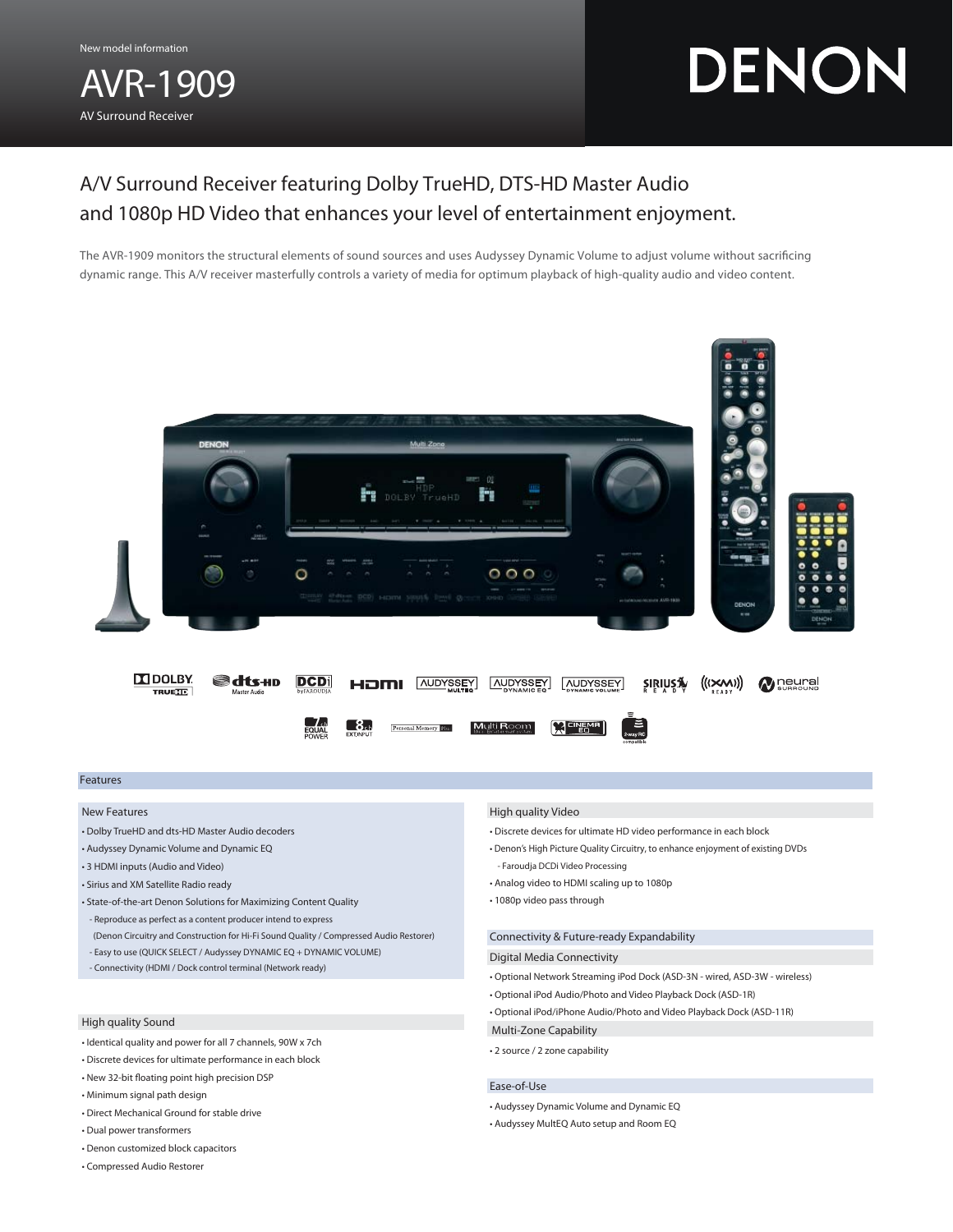AVR-1909 AV Surround Receiver

# DENON

# A/V Surround Receiver featuring Dolby TrueHD, DTS-HD Master Audio and 1080p HD Video that enhances your level of entertainment enjoyment.

The AVR-1909 monitors the structural elements of sound sources and uses Audyssey Dynamic Volume to adjust volume without sacrificing dynamic range. This A/V receiver masterfully controls a variety of media for optimum playback of high-quality audio and video content.



# Features

#### New Features

- Dolby TrueHD and dts-HD Master Audio decoders
- Audyssey Dynamic Volume and Dynamic EQ
- 3 HDMI inputs (Audio and Video)
- Sirius and XM Satellite Radio ready
- State-of-the-art Denon Solutions for Maximizing Content Quality - Reproduce as perfect as a content producer intend to express
- (Denon Circuitry and Construction for Hi-Fi Sound Quality / Compressed Audio Restorer) - Easy to use (QUICK SELECT / Audyssey DYNAMIC EQ + DYNAMIC VOLUME)
- Connectivity (HDMI / Dock control terminal (Network ready)
- 

### High quality Sound

- Identical quality and power for all 7 channels, 90W x 7ch
- Discrete devices for ultimate performance in each block
- $\cdot$  New 32-bit floating point high precision DSP
- Minimum signal path design
- Direct Mechanical Ground for stable drive
- Dual power transformers
- Denon customized block capacitors
- Compressed Audio Restorer

#### High quality Video

- Discrete devices for ultimate HD video performance in each block
- Denon's High Picture Quality Circuitry, to enhance enjoyment of existing DVDs - Faroudja DCDi Video Processing
- Analog video to HDMI scaling up to 1080p
- 1080p video pass through

# Connectivity & Future-ready Expandability

#### Digital Media Connectivity

- Optional Network Streaming iPod Dock (ASD-3N wired, ASD-3W wireless)
- Optional iPod Audio/Photo and Video Playback Dock (ASD-1R)
- Optional iPod/iPhone Audio/Photo and Video Playback Dock (ASD-11R)
- Multi-Zone Capability
- 2 source / 2 zone capability

## Ease-of-Use

- Audyssey Dynamic Volume and Dynamic EQ
- Audyssey MultEQ Auto setup and Room EQ